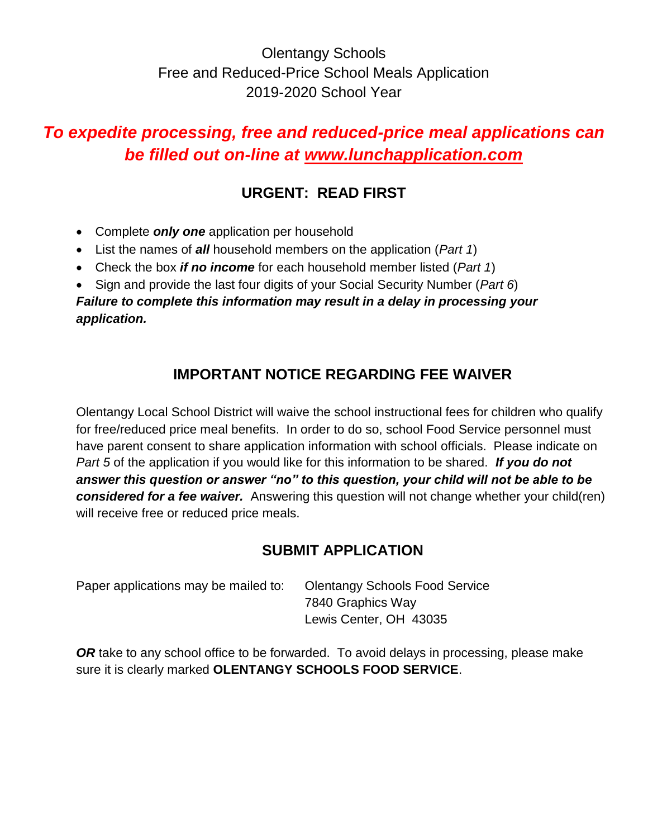# Olentangy Schools Free and Reduced-Price School Meals Application 2019-2020 School Year

# *To expedite processing, free and reduced-price meal applications can be filled out on-line at www.lunchapplication.com*

# **URGENT: READ FIRST**

- Complete *only one* application per household
- List the names of *all* household members on the application (*Part 1*)
- Check the box *if no income* for each household member listed (*Part 1*)
- Sign and provide the last four digits of your Social Security Number (*Part 6*)

*Failure to complete this information may result in a delay in processing your application.* 

# **IMPORTANT NOTICE REGARDING FEE WAIVER**

Olentangy Local School District will waive the school instructional fees for children who qualify for free/reduced price meal benefits. In order to do so, school Food Service personnel must have parent consent to share application information with school officials. Please indicate on *Part 5* of the application if you would like for this information to be shared. *If you do not answer this question or answer "no" to this question, your child will not be able to be considered for a fee waiver.* Answering this question will not change whether your child(ren) will receive free or reduced price meals.

# **SUBMIT APPLICATION**

| Paper applications may be mailed to: | <b>Olentangy Schools Food Service</b> |  |  |  |
|--------------------------------------|---------------------------------------|--|--|--|
|                                      | 7840 Graphics Way                     |  |  |  |
|                                      | Lewis Center, OH 43035                |  |  |  |

*OR* take to any school office to be forwarded. To avoid delays in processing, please make sure it is clearly marked **OLENTANGY SCHOOLS FOOD SERVICE**.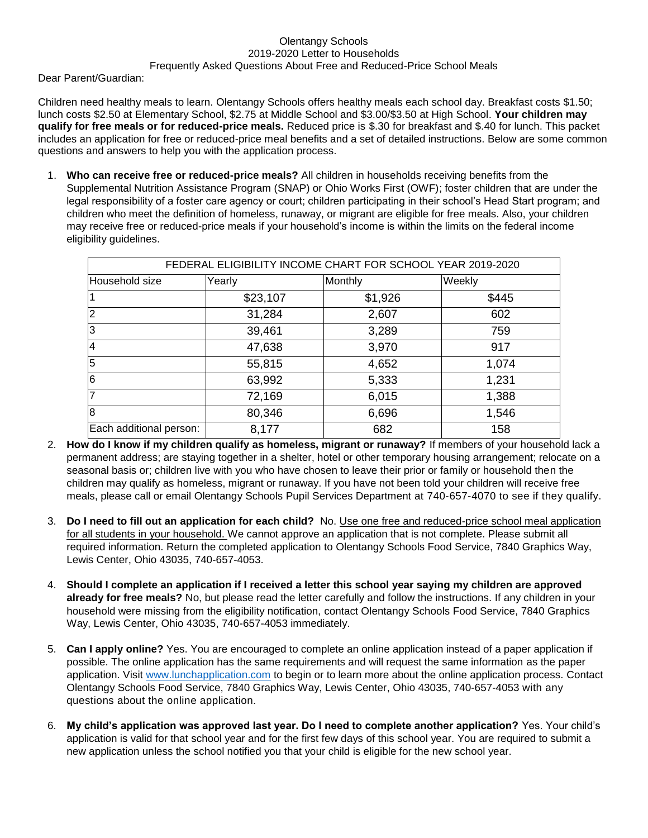### Olentangy Schools 2019-2020 Letter to Households Frequently Asked Questions About Free and Reduced-Price School Meals

Dear Parent/Guardian:

Children need healthy meals to learn. Olentangy Schools offers healthy meals each school day. Breakfast costs \$1.50; lunch costs \$2.50 at Elementary School, \$2.75 at Middle School and \$3.00/\$3.50 at High School. **Your children may qualify for free meals or for reduced-price meals.** Reduced price is \$.30 for breakfast and \$.40 for lunch. This packet includes an application for free or reduced-price meal benefits and a set of detailed instructions. Below are some common questions and answers to help you with the application process.

1. **Who can receive free or reduced-price meals?** All children in households receiving benefits from the Supplemental Nutrition Assistance Program (SNAP) or Ohio Works First (OWF); foster children that are under the legal responsibility of a foster care agency or court; children participating in their school's Head Start program; and children who meet the definition of homeless, runaway, or migrant are eligible for free meals. Also, your children may receive free or reduced-price meals if your household's income is within the limits on the federal income eligibility guidelines.

| FEDERAL ELIGIBILITY INCOME CHART FOR SCHOOL YEAR 2019-2020 |          |         |        |  |  |  |  |  |
|------------------------------------------------------------|----------|---------|--------|--|--|--|--|--|
| Household size                                             | Yearly   | Monthly | Weekly |  |  |  |  |  |
|                                                            | \$23,107 | \$1,926 | \$445  |  |  |  |  |  |
| $\overline{2}$                                             | 31,284   | 2,607   | 602    |  |  |  |  |  |
| 3                                                          | 39,461   | 3,289   | 759    |  |  |  |  |  |
| $\overline{4}$                                             | 47,638   | 3,970   | 917    |  |  |  |  |  |
| 5                                                          | 55,815   | 4,652   | 1,074  |  |  |  |  |  |
| $\overline{6}$                                             | 63,992   | 5,333   | 1,231  |  |  |  |  |  |
| 7                                                          | 72,169   | 6,015   | 1,388  |  |  |  |  |  |
| $\overline{8}$                                             | 80,346   | 6,696   | 1,546  |  |  |  |  |  |
| Each additional person:                                    | 8,177    | 682     | 158    |  |  |  |  |  |

- 2. **How do I know if my children qualify as homeless, migrant or runaway?** If members of your household lack a permanent address; are staying together in a shelter, hotel or other temporary housing arrangement; relocate on a seasonal basis or; children live with you who have chosen to leave their prior or family or household then the children may qualify as homeless, migrant or runaway. If you have not been told your children will receive free meals, please call or email Olentangy Schools Pupil Services Department at 740-657-4070 to see if they qualify.
- 3. **Do I need to fill out an application for each child?** No. Use one free and reduced-price school meal application for all students in your household. We cannot approve an application that is not complete. Please submit all required information. Return the completed application to Olentangy Schools Food Service, 7840 Graphics Way, Lewis Center, Ohio 43035, 740-657-4053.
- 4. **Should I complete an application if I received a letter this school year saying my children are approved already for free meals?** No, but please read the letter carefully and follow the instructions. If any children in your household were missing from the eligibility notification, contact Olentangy Schools Food Service, 7840 Graphics Way, Lewis Center, Ohio 43035, 740-657-4053 immediately.
- 5. **Can I apply online?** Yes. You are encouraged to complete an online application instead of a paper application if possible. The online application has the same requirements and will request the same information as the paper application. Visit [www.lunchapplication.com](http://www.lunchapplication.com/) to begin or to learn more about the online application process. Contact Olentangy Schools Food Service, 7840 Graphics Way, Lewis Center, Ohio 43035, 740-657-4053 with any questions about the online application.
- 6. **My child's application was approved last year. Do I need to complete another application?** Yes. Your child's application is valid for that school year and for the first few days of this school year. You are required to submit a new application unless the school notified you that your child is eligible for the new school year.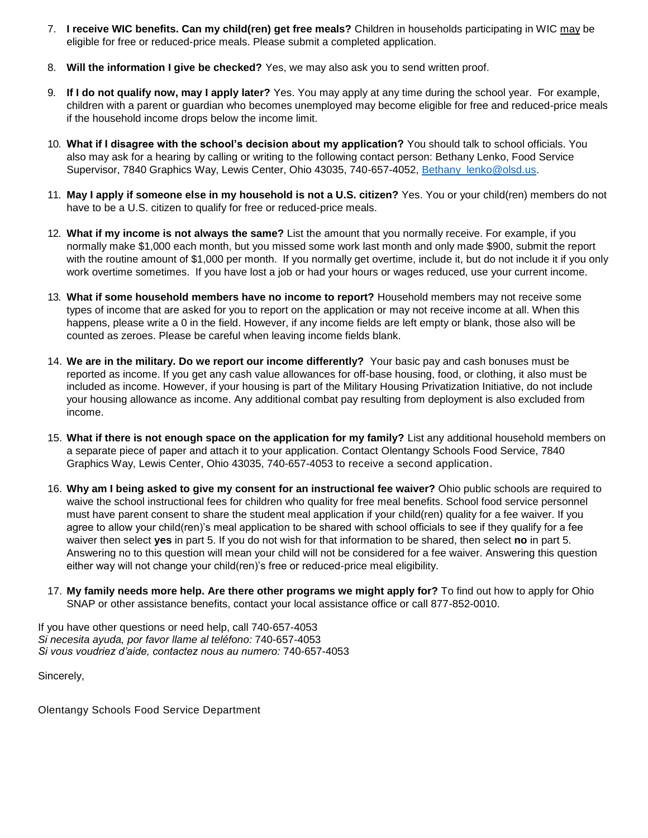- 7. **I receive WIC benefits. Can my child(ren) get free meals?** Children in households participating in WIC may be eligible for free or reduced-price meals. Please submit a completed application.
- 8. **Will the information I give be checked?** Yes, we may also ask you to send written proof.
- 9. **If I do not qualify now, may I apply later?** Yes. You may apply at any time during the school year. For example, children with a parent or guardian who becomes unemployed may become eligible for free and reduced-price meals if the household income drops below the income limit.
- 10. **What if I disagree with the school's decision about my application?** You should talk to school officials. You also may ask for a hearing by calling or writing to the following contact person: Bethany Lenko, Food Service Supervisor, 7840 Graphics Way, Lewis Center, Ohio 43035, 740-657-4052, [Bethany\\_lenko@olsd.us.](mailto:Bethany_lenko@olsd.us)
- 11. **May I apply if someone else in my household is not a U.S. citizen?** Yes. You or your child(ren) members do not have to be a U.S. citizen to qualify for free or reduced-price meals.
- 12. **What if my income is not always the same?** List the amount that you normally receive. For example, if you normally make \$1,000 each month, but you missed some work last month and only made \$900, submit the report with the routine amount of \$1,000 per month. If you normally get overtime, include it, but do not include it if you only work overtime sometimes. If you have lost a job or had your hours or wages reduced, use your current income.
- 13. **What if some household members have no income to report?** Household members may not receive some types of income that are asked for you to report on the application or may not receive income at all. When this happens, please write a 0 in the field. However, if any income fields are left empty or blank, those also will be counted as zeroes. Please be careful when leaving income fields blank.
- 14. **We are in the military. Do we report our income differently?** Your basic pay and cash bonuses must be reported as income. If you get any cash value allowances for off-base housing, food, or clothing, it also must be included as income. However, if your housing is part of the Military Housing Privatization Initiative, do not include your housing allowance as income. Any additional combat pay resulting from deployment is also excluded from income.
- 15. **What if there is not enough space on the application for my family?** List any additional household members on a separate piece of paper and attach it to your application. Contact Olentangy Schools Food Service, 7840 Graphics Way, Lewis Center, Ohio 43035, 740-657-4053 to receive a second application**.**
- 16. **Why am I being asked to give my consent for an instructional fee waiver?** Ohio public schools are required to waive the school instructional fees for children who quality for free meal benefits. School food service personnel must have parent consent to share the student meal application if your child(ren) quality for a fee waiver. If you agree to allow your child(ren)'s meal application to be shared with school officials to see if they qualify for a fee waiver then select **yes** in part 5. If you do not wish for that information to be shared, then select **no** in part 5. Answering no to this question will mean your child will not be considered for a fee waiver. Answering this question either way will not change your child(ren)'s free or reduced-price meal eligibility.
- 17. **My family needs more help. Are there other programs we might apply for?** To find out how to apply for Ohio SNAP or other assistance benefits, contact your local assistance office or call 877-852-0010.

If you have other questions or need help, call 740-657-4053 *Si necesita ayuda, por favor llame al teléfono:* 740-657-4053 *Si vous voudriez d'aide, contactez nous au numero:* 740-657-4053

Sincerely,

Olentangy Schools Food Service Department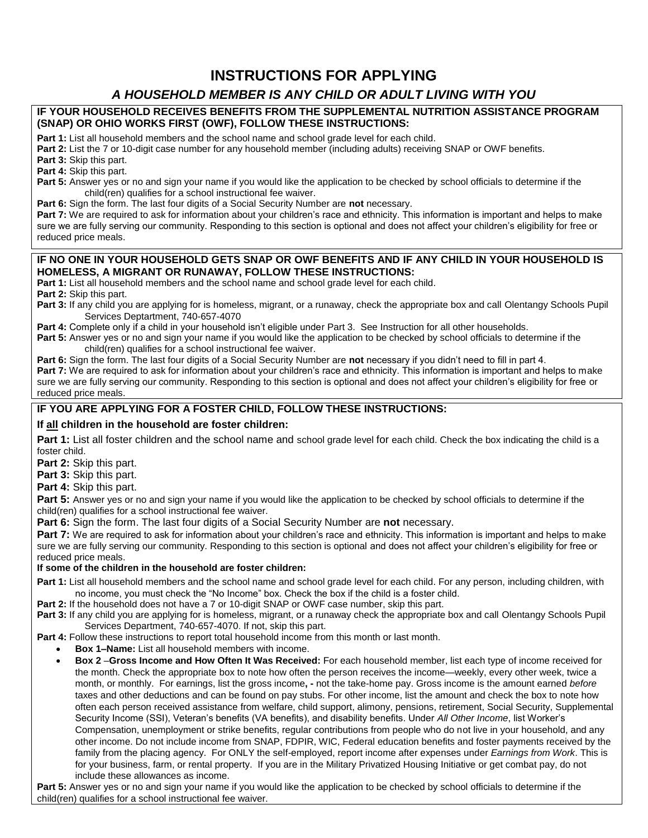# **INSTRUCTIONS FOR APPLYING**

## *A HOUSEHOLD MEMBER IS ANY CHILD OR ADULT LIVING WITH YOU*

### **IF YOUR HOUSEHOLD RECEIVES BENEFITS FROM THE SUPPLEMENTAL NUTRITION ASSISTANCE PROGRAM (SNAP) OR OHIO WORKS FIRST (OWF), FOLLOW THESE INSTRUCTIONS:**

**Part 1:** List all household members and the school name and school grade level for each child.

**Part 2:** List the 7 or 10-digit case number for any household member (including adults) receiving SNAP or OWF benefits.

**Part 3:** Skip this part.

**Part 4:** Skip this part.

**Part 5:** Answer yes or no and sign your name if you would like the application to be checked by school officials to determine if the child(ren) qualifies for a school instructional fee waiver.

**Part 6:** Sign the form. The last four digits of a Social Security Number are **not** necessary.

Part 7: We are required to ask for information about your children's race and ethnicity. This information is important and helps to make sure we are fully serving our community. Responding to this section is optional and does not affect your children's eligibility for free or reduced price meals.

### **IF NO ONE IN YOUR HOUSEHOLD GETS SNAP OR OWF BENEFITS AND IF ANY CHILD IN YOUR HOUSEHOLD IS HOMELESS, A MIGRANT OR RUNAWAY, FOLLOW THESE INSTRUCTIONS:**

**Part 1:** List all household members and the school name and school grade level for each child.

**Part 2:** Skip this part.

- **Part 3:** If any child you are applying for is homeless, migrant, or a runaway, check the appropriate box and call Olentangy Schools Pupil Services Deptartment, 740-657-4070
- Part 4: Complete only if a child in your household isn't eligible under Part 3. See Instruction for all other households.
- **Part 5:** Answer yes or no and sign your name if you would like the application to be checked by school officials to determine if the child(ren) qualifies for a school instructional fee waiver.

**Part 6:** Sign the form. The last four digits of a Social Security Number are **not** necessary if you didn't need to fill in part 4. Part 7: We are required to ask for information about your children's race and ethnicity. This information is important and helps to make sure we are fully serving our community. Responding to this section is optional and does not affect your children's eligibility for free or reduced price meals.

### **IF YOU ARE APPLYING FOR A FOSTER CHILD, FOLLOW THESE INSTRUCTIONS:**

### **If all children in the household are foster children:**

Part 1: List all foster children and the school name and school grade level for each child. Check the box indicating the child is a foster child.

**Part 2:** Skip this part.

**Part 3:** Skip this part.

**Part 4:** Skip this part.

**Part 5:** Answer yes or no and sign your name if you would like the application to be checked by school officials to determine if the child(ren) qualifies for a school instructional fee waiver.

**Part 6:** Sign the form. The last four digits of a Social Security Number are **not** necessary.

Part 7: We are required to ask for information about your children's race and ethnicity. This information is important and helps to make sure we are fully serving our community. Responding to this section is optional and does not affect your children's eligibility for free or reduced price meals.

### **If some of the children in the household are foster children:**

**Part 1:** List all household members and the school name and school grade level for each child. For any person, including children, with no income, you must check the "No Income" box. Check the box if the child is a foster child.

**Part 2:** If the household does not have a 7 or 10-digit SNAP or OWF case number, skip this part.

**Part 3:** If any child you are applying for is homeless, migrant, or a runaway check the appropriate box and call Olentangy Schools Pupil Services Department, 740-657-4070. If not, skip this part.

**Part 4:** Follow these instructions to report total household income from this month or last month.

- **Box 1–Name:** List all household members with income.
- **Box 2** –**Gross Income and How Often It Was Received:** For each household member, list each type of income received for the month. Check the appropriate box to note how often the person receives the income—weekly, every other week, twice a month, or monthly. For earnings, list the gross income**, -** not the take-home pay. Gross income is the amount earned *before* taxes and other deductions and can be found on pay stubs. For other income, list the amount and check the box to note how often each person received assistance from welfare, child support, alimony, pensions, retirement, Social Security, Supplemental Security Income (SSI), Veteran's benefits (VA benefits), and disability benefits. Under *All Other Income*, list Worker's Compensation, unemployment or strike benefits, regular contributions from people who do not live in your household, and any other income. Do not include income from SNAP, FDPIR, WIC, Federal education benefits and foster payments received by the family from the placing agency. For ONLY the self-employed, report income after expenses under *Earnings from Work*. This is for your business, farm, or rental property. If you are in the Military Privatized Housing Initiative or get combat pay, do not include these allowances as income.

Part 5: Answer yes or no and sign your name if you would like the application to be checked by school officials to determine if the child(ren) qualifies for a school instructional fee waiver.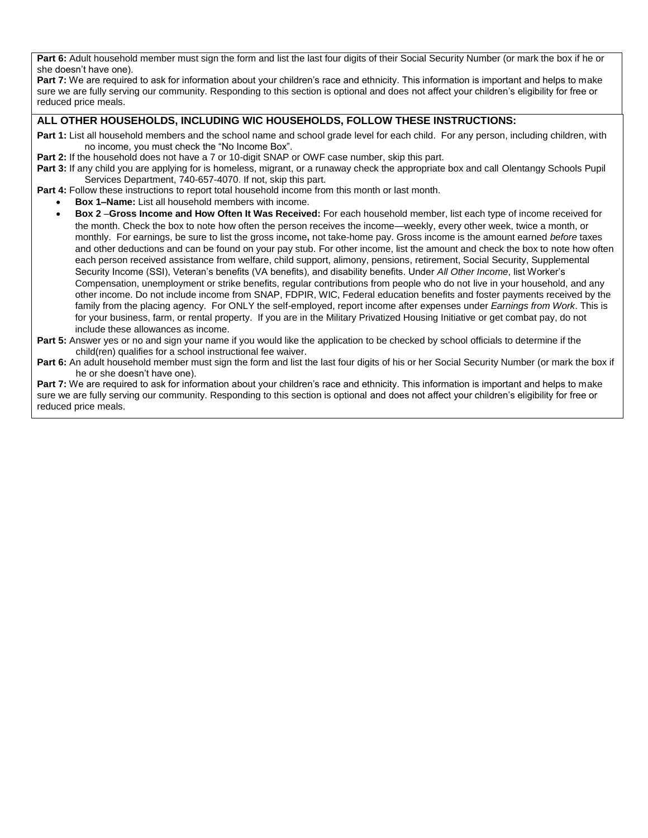Part 6: Adult household member must sign the form and list the last four digits of their Social Security Number (or mark the box if he or she doesn't have one).

**Part 7:** We are required to ask for information about your children's race and ethnicity. This information is important and helps to make sure we are fully serving our community. Responding to this section is optional and does not affect your children's eligibility for free or reduced price meals.

### **ALL OTHER HOUSEHOLDS, INCLUDING WIC HOUSEHOLDS, FOLLOW THESE INSTRUCTIONS:**

- **Part 1:** List all household members and the school name and school grade level for each child. For any person, including children, with no income, you must check the "No Income Box".
- **Part 2:** If the household does not have a 7 or 10-digit SNAP or OWF case number, skip this part.
- **Part 3:** If any child you are applying for is homeless, migrant, or a runaway check the appropriate box and call Olentangy Schools Pupil Services Department, 740-657-4070. If not, skip this part.
- Part 4: Follow these instructions to report total household income from this month or last month.
	- **Box 1–Name:** List all household members with income.
		- **Box 2** –**Gross Income and How Often It Was Received:** For each household member, list each type of income received for the month. Check the box to note how often the person receives the income—weekly, every other week, twice a month, or monthly. For earnings, be sure to list the gross income**,** not take-home pay. Gross income is the amount earned *before* taxes and other deductions and can be found on your pay stub. For other income, list the amount and check the box to note how often each person received assistance from welfare, child support, alimony, pensions, retirement, Social Security, Supplemental Security Income (SSI), Veteran's benefits (VA benefits), and disability benefits. Under *All Other Income*, list Worker's Compensation, unemployment or strike benefits, regular contributions from people who do not live in your household, and any other income. Do not include income from SNAP, FDPIR, WIC, Federal education benefits and foster payments received by the family from the placing agency. For ONLY the self-employed, report income after expenses under *Earnings from Work*. This is for your business, farm, or rental property. If you are in the Military Privatized Housing Initiative or get combat pay, do not include these allowances as income.
- **Part 5:** Answer yes or no and sign your name if you would like the application to be checked by school officials to determine if the child(ren) qualifies for a school instructional fee waiver.
- **Part 6:** An adult household member must sign the form and list the last four digits of his or her Social Security Number (or mark the box if he or she doesn't have one).

**Part 7:** We are required to ask for information about your children's race and ethnicity. This information is important and helps to make sure we are fully serving our community. Responding to this section is optional and does not affect your children's eligibility for free or reduced price meals.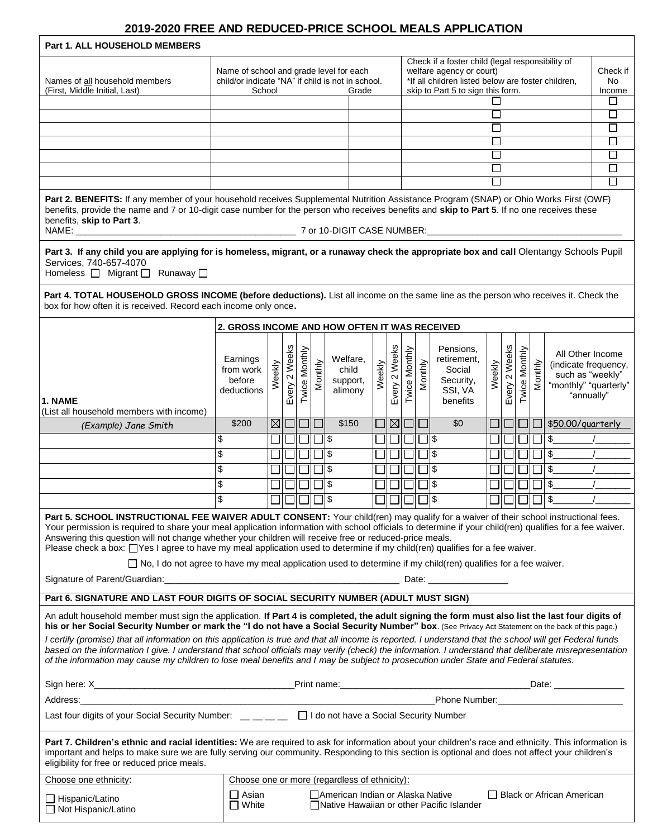### **2019-2020 FREE AND REDUCED-PRICE SCHOOL MEALS APPLICATION**

┑

| <b>Part 1. ALL HOUSEHOLD MEMBERS</b>                                                                                                                                                                                                                                                                                                                                                                                                                                                                                                                                                                                                                                                                                                                               |                                                                                                                 |             |               |               |         |                                                                                                                                                                         |        |               |                      |         |                                                                        |        |                  |               |         |                                                                                                     |        |
|--------------------------------------------------------------------------------------------------------------------------------------------------------------------------------------------------------------------------------------------------------------------------------------------------------------------------------------------------------------------------------------------------------------------------------------------------------------------------------------------------------------------------------------------------------------------------------------------------------------------------------------------------------------------------------------------------------------------------------------------------------------------|-----------------------------------------------------------------------------------------------------------------|-------------|---------------|---------------|---------|-------------------------------------------------------------------------------------------------------------------------------------------------------------------------|--------|---------------|----------------------|---------|------------------------------------------------------------------------|--------|------------------|---------------|---------|-----------------------------------------------------------------------------------------------------|--------|
| Names of all household members<br>(First, Middle Initial, Last)                                                                                                                                                                                                                                                                                                                                                                                                                                                                                                                                                                                                                                                                                                    | Name of school and grade level for each<br>child/or indicate "NA" if child is not in school.<br>School<br>Grade |             |               |               |         | Check if a foster child (legal responsibility of<br>welfare agency or court)<br>*If all children listed below are foster children,<br>skip to Part 5 to sign this form. |        |               |                      |         | Check if<br>No<br>Income                                               |        |                  |               |         |                                                                                                     |        |
|                                                                                                                                                                                                                                                                                                                                                                                                                                                                                                                                                                                                                                                                                                                                                                    |                                                                                                                 |             |               |               |         |                                                                                                                                                                         |        |               |                      |         |                                                                        |        |                  |               |         |                                                                                                     |        |
|                                                                                                                                                                                                                                                                                                                                                                                                                                                                                                                                                                                                                                                                                                                                                                    |                                                                                                                 |             |               |               |         |                                                                                                                                                                         |        |               |                      |         |                                                                        |        |                  |               |         |                                                                                                     | $\Box$ |
|                                                                                                                                                                                                                                                                                                                                                                                                                                                                                                                                                                                                                                                                                                                                                                    |                                                                                                                 |             |               |               |         |                                                                                                                                                                         |        |               |                      |         |                                                                        |        |                  |               |         |                                                                                                     | $\Box$ |
|                                                                                                                                                                                                                                                                                                                                                                                                                                                                                                                                                                                                                                                                                                                                                                    |                                                                                                                 |             |               |               |         |                                                                                                                                                                         |        |               |                      |         |                                                                        |        |                  |               |         |                                                                                                     | $\Box$ |
|                                                                                                                                                                                                                                                                                                                                                                                                                                                                                                                                                                                                                                                                                                                                                                    |                                                                                                                 |             |               |               |         |                                                                                                                                                                         |        |               |                      |         |                                                                        |        |                  |               |         |                                                                                                     | $\Box$ |
|                                                                                                                                                                                                                                                                                                                                                                                                                                                                                                                                                                                                                                                                                                                                                                    |                                                                                                                 |             |               |               |         |                                                                                                                                                                         |        |               |                      |         |                                                                        |        |                  |               |         |                                                                                                     | $\Box$ |
| □<br>Part 2. BENEFITS: If any member of your household receives Supplemental Nutrition Assistance Program (SNAP) or Ohio Works First (OWF)<br>benefits, provide the name and 7 or 10-digit case number for the person who receives benefits and skip to Part 5. If no one receives these<br>benefits, skip to Part 3.                                                                                                                                                                                                                                                                                                                                                                                                                                              |                                                                                                                 |             |               |               |         |                                                                                                                                                                         |        |               |                      |         |                                                                        |        |                  |               |         |                                                                                                     |        |
| Part 3. If any child you are applying for is homeless, migrant, or a runaway check the appropriate box and call Olentangy Schools Pupil<br>Services, 740-657-4070<br>Homeless <sub>D</sub> Migrant <sub>D</sub> Runaway D                                                                                                                                                                                                                                                                                                                                                                                                                                                                                                                                          |                                                                                                                 |             |               |               |         |                                                                                                                                                                         |        |               |                      |         |                                                                        |        |                  |               |         |                                                                                                     |        |
| Part 4. TOTAL HOUSEHOLD GROSS INCOME (before deductions). List all income on the same line as the person who receives it. Check the<br>box for how often it is received. Record each income only once.                                                                                                                                                                                                                                                                                                                                                                                                                                                                                                                                                             |                                                                                                                 |             |               |               |         |                                                                                                                                                                         |        |               |                      |         |                                                                        |        |                  |               |         |                                                                                                     |        |
|                                                                                                                                                                                                                                                                                                                                                                                                                                                                                                                                                                                                                                                                                                                                                                    |                                                                                                                 |             |               |               |         | 2. GROSS INCOME AND HOW OFTEN IT WAS RECEIVED                                                                                                                           |        |               |                      |         |                                                                        |        |                  |               |         |                                                                                                     |        |
| 1. NAME<br>(List all household members with income)                                                                                                                                                                                                                                                                                                                                                                                                                                                                                                                                                                                                                                                                                                                | Earnings<br>from work<br>before<br>deductions                                                                   | Weekly      | Every 2 Weeks | Twice Monthly | Monthly | Welfare,<br>child<br>support,<br>alimony                                                                                                                                | Weekly | Every 2 Weeks | <b>Twice Monthly</b> | Monthly | Pensions,<br>retirement,<br>Social<br>Security,<br>SSI, VA<br>benefits | Weekly | 2 Weeks<br>Every | Twice Monthly | Monthly | All Other Income<br>(indicate frequency,<br>such as "weekly"<br>"monthly" "quarterly"<br>"annually" |        |
| (Example) Jane Smith                                                                                                                                                                                                                                                                                                                                                                                                                                                                                                                                                                                                                                                                                                                                               | \$200                                                                                                           | $\boxtimes$ |               |               |         | \$150                                                                                                                                                                   |        | $\boxtimes$   |                      |         | \$0                                                                    |        |                  |               |         | \$50.00/guarterly                                                                                   |        |
|                                                                                                                                                                                                                                                                                                                                                                                                                                                                                                                                                                                                                                                                                                                                                                    | \$                                                                                                              |             |               |               |         | \$                                                                                                                                                                      |        |               |                      |         | 11 \$                                                                  |        |                  |               |         | $\mathcal{L}_{\mathcal{L}}$                                                                         |        |
|                                                                                                                                                                                                                                                                                                                                                                                                                                                                                                                                                                                                                                                                                                                                                                    | \$                                                                                                              |             |               |               |         | \$                                                                                                                                                                      |        |               |                      |         | $\boldsymbol{\theta}$                                                  |        |                  |               |         | \$                                                                                                  |        |
|                                                                                                                                                                                                                                                                                                                                                                                                                                                                                                                                                                                                                                                                                                                                                                    | \$                                                                                                              |             |               |               |         | \$                                                                                                                                                                      |        |               |                      |         | \$                                                                     |        |                  |               |         | \$                                                                                                  |        |
|                                                                                                                                                                                                                                                                                                                                                                                                                                                                                                                                                                                                                                                                                                                                                                    | \$                                                                                                              |             |               |               |         | \$                                                                                                                                                                      |        |               |                      |         | \$                                                                     |        |                  |               |         | \$                                                                                                  |        |
|                                                                                                                                                                                                                                                                                                                                                                                                                                                                                                                                                                                                                                                                                                                                                                    | \$                                                                                                              |             |               |               |         | \$                                                                                                                                                                      |        |               |                      |         | \$                                                                     |        |                  |               |         | \$                                                                                                  |        |
| Part 5. SCHOOL INSTRUCTIONAL FEE WAIVER ADULT CONSENT: Your child(ren) may qualify for a waiver of their school instructional fees.<br>Your permission is required to share your meal application information with school officials to determine if your child(ren) qualifies for a fee waiver.<br>Answering this question will not change whether your children will receive free or reduced-price meals.<br>Please check a box: □Yes I agree to have my meal application used to determine if my child(ren) qualifies for a fee waiver.<br>$\Box$ No, I do not agree to have my meal application used to determine if my child(ren) qualifies for a fee waiver.                                                                                                  |                                                                                                                 |             |               |               |         |                                                                                                                                                                         |        |               |                      |         |                                                                        |        |                  |               |         |                                                                                                     |        |
| Part 6. SIGNATURE AND LAST FOUR DIGITS OF SOCIAL SECURITY NUMBER (ADULT MUST SIGN)                                                                                                                                                                                                                                                                                                                                                                                                                                                                                                                                                                                                                                                                                 |                                                                                                                 |             |               |               |         |                                                                                                                                                                         |        |               |                      |         |                                                                        |        |                  |               |         |                                                                                                     |        |
| An adult household member must sign the application. If Part 4 is completed, the adult signing the form must also list the last four digits of<br>his or her Social Security Number or mark the "I do not have a Social Security Number" box. (See Privacy Act Statement on the back of this page.)<br>I certify (promise) that all information on this application is true and that all income is reported. I understand that the school will get Federal funds<br>based on the information I give. I understand that school officials may verify (check) the information. I understand that deliberate misrepresentation<br>of the information may cause my children to lose meal benefits and I may be subject to prosecution under State and Federal statutes. |                                                                                                                 |             |               |               |         |                                                                                                                                                                         |        |               |                      |         |                                                                        |        |                  |               |         |                                                                                                     |        |
|                                                                                                                                                                                                                                                                                                                                                                                                                                                                                                                                                                                                                                                                                                                                                                    |                                                                                                                 |             |               |               |         |                                                                                                                                                                         |        |               |                      |         |                                                                        |        |                  |               |         |                                                                                                     |        |
| <u> 1989 - Johann John Stoff, deutscher Stoffen und der Stoffen und der Stoffen und der Stoffen und der Stoffen</u><br>Address:                                                                                                                                                                                                                                                                                                                                                                                                                                                                                                                                                                                                                                    |                                                                                                                 |             |               |               |         |                                                                                                                                                                         |        |               |                      |         |                                                                        |        |                  |               |         |                                                                                                     |        |
| Last four digits of your Social Security Number: $\Box \Box \Box \Box$ $\Box$ I do not have a Social Security Number                                                                                                                                                                                                                                                                                                                                                                                                                                                                                                                                                                                                                                               |                                                                                                                 |             |               |               |         |                                                                                                                                                                         |        |               |                      |         |                                                                        |        |                  |               |         |                                                                                                     |        |
| Part 7. Children's ethnic and racial identities: We are required to ask for information about your children's race and ethnicity. This information is<br>important and helps to make sure we are fully serving our community. Responding to this section is optional and does not affect your children's<br>eligibility for free or reduced price meals.                                                                                                                                                                                                                                                                                                                                                                                                           |                                                                                                                 |             |               |               |         |                                                                                                                                                                         |        |               |                      |         |                                                                        |        |                  |               |         |                                                                                                     |        |
| Choose one ethnicity:                                                                                                                                                                                                                                                                                                                                                                                                                                                                                                                                                                                                                                                                                                                                              |                                                                                                                 |             |               |               |         | Choose one or more (regardless of ethnicity):                                                                                                                           |        |               |                      |         |                                                                        |        |                  |               |         |                                                                                                     |        |
| $\Box$ Hispanic/Latino<br>□ Not Hispanic/Latino                                                                                                                                                                                                                                                                                                                                                                                                                                                                                                                                                                                                                                                                                                                    | ∐ Asian<br>$\Box$ White                                                                                         |             |               |               |         | ∐American Indian or Alaska Native                                                                                                                                       |        |               |                      |         | □ Native Hawaiian or other Pacific Islander                            |        |                  |               |         | □ Black or African American                                                                         |        |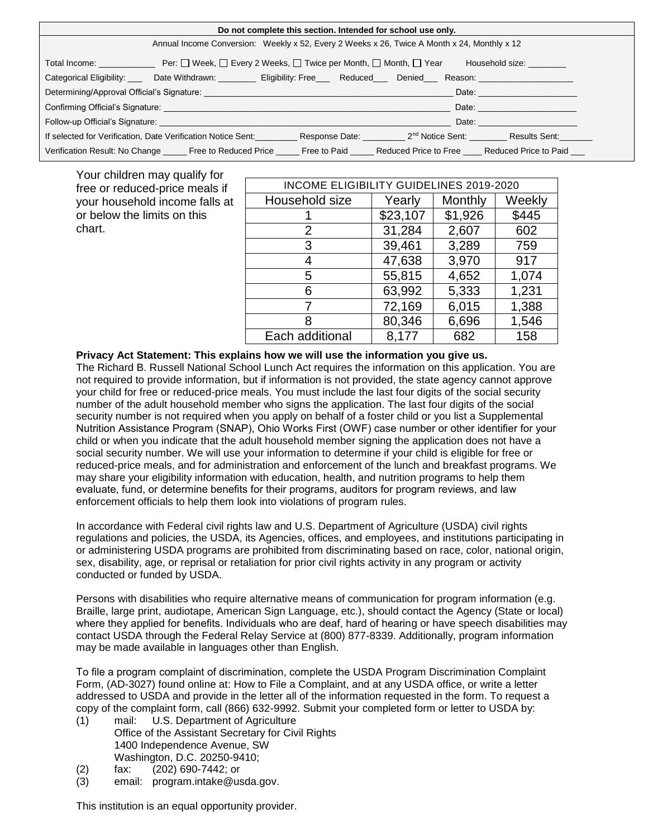| Do not complete this section. Intended for school use only.                                                                                                                                                                                                                                                                                                                                                                                                     |                                                                                                                               |  |                                                           |                                                                                                                                                                                                                                |  |  |  |
|-----------------------------------------------------------------------------------------------------------------------------------------------------------------------------------------------------------------------------------------------------------------------------------------------------------------------------------------------------------------------------------------------------------------------------------------------------------------|-------------------------------------------------------------------------------------------------------------------------------|--|-----------------------------------------------------------|--------------------------------------------------------------------------------------------------------------------------------------------------------------------------------------------------------------------------------|--|--|--|
| Annual Income Conversion: Weekly x 52, Every 2 Weeks x 26, Twice A Month x 24, Monthly x 12                                                                                                                                                                                                                                                                                                                                                                     |                                                                                                                               |  |                                                           |                                                                                                                                                                                                                                |  |  |  |
| Household size: ________                                                                                                                                                                                                                                                                                                                                                                                                                                        |                                                                                                                               |  |                                                           |                                                                                                                                                                                                                                |  |  |  |
|                                                                                                                                                                                                                                                                                                                                                                                                                                                                 | Categorical Eligibility: ____ Date Withdrawn: _________ Eligibility: Free___ Reduced___ Denied___ Reason: ___________________ |  |                                                           |                                                                                                                                                                                                                                |  |  |  |
| Determining/Approval Official's Signature: North and the state of the state of the state of the state of the state of the state of the state of the state of the state of the state of the state of the state of the state of<br>Date: the contract of the contract of the contract of the contract of the contract of the contract of the contract of the contract of the contract of the contract of the contract of the contract of the contract of the cont |                                                                                                                               |  |                                                           |                                                                                                                                                                                                                                |  |  |  |
|                                                                                                                                                                                                                                                                                                                                                                                                                                                                 | Confirming Official's Signature: <b>Example 2018</b>                                                                          |  |                                                           |                                                                                                                                                                                                                                |  |  |  |
|                                                                                                                                                                                                                                                                                                                                                                                                                                                                 |                                                                                                                               |  |                                                           | Date: the contract of the contract of the contract of the contract of the contract of the contract of the contract of the contract of the contract of the contract of the contract of the contract of the contract of the cont |  |  |  |
|                                                                                                                                                                                                                                                                                                                                                                                                                                                                 | If selected for Verification, Date Verification Notice Sent:                                                                  |  | Response Date: 2 <sup>nd</sup> Notice Sent: Results Sent: |                                                                                                                                                                                                                                |  |  |  |
|                                                                                                                                                                                                                                                                                                                                                                                                                                                                 | Verification Result: No Change Free to Reduced Price Free to Paid Reduced Price to Free Reduced Price to Paid                 |  |                                                           |                                                                                                                                                                                                                                |  |  |  |

| Your children may qualify for                                                                             |                                         |          |         |        |  |  |  |  |
|-----------------------------------------------------------------------------------------------------------|-----------------------------------------|----------|---------|--------|--|--|--|--|
| free or reduced-price meals if<br>your household income falls at<br>or below the limits on this<br>chart. | INCOME ELIGIBILITY GUIDELINES 2019-2020 |          |         |        |  |  |  |  |
|                                                                                                           | Household size                          | Yearly   | Monthly | Weekly |  |  |  |  |
|                                                                                                           |                                         | \$23,107 | \$1,926 | \$445  |  |  |  |  |
|                                                                                                           |                                         | 31,284   | 2,607   | 602    |  |  |  |  |
|                                                                                                           |                                         | 39,461   | 3,289   | 759    |  |  |  |  |
|                                                                                                           |                                         | 47,638   | 3,970   | 917    |  |  |  |  |
|                                                                                                           | 5                                       | 55,815   | 4,652   | 1,074  |  |  |  |  |
|                                                                                                           |                                         | 63,992   | 5,333   | 1,231  |  |  |  |  |

7 72,169 6,015 1,388 8 80,346 6,696 1,546

8,177 682 158

Privacy Act Statement: This explains how we will use the information you give us.

The Richard B. Russell National School Lunch Act requires the information on this application. You are not required to provide information, but if information is not provided, the state agency cannot approve your child for free or reduced-price meals. You must include the last four digits of the social security number of the adult household member who signs the application. The last four digits of the social security number is not required when you apply on behalf of a foster child or you list a Supplemental Nutrition Assistance Program (SNAP), Ohio Works First (OWF) case number or other identifier for your child or when you indicate that the adult household member signing the application does not have a social security number. We will use your information to determine if your child is eligible for free or reduced-price meals, and for administration and enforcement of the lunch and breakfast programs. We may share your eligibility information with education, health, and nutrition programs to help them evaluate, fund, or determine benefits for their programs, auditors for program reviews, and law enforcement officials to help them look into violations of program rules.

Each additional

In accordance with Federal civil rights law and U.S. Department of Agriculture (USDA) civil rights regulations and policies, the USDA, its Agencies, offices, and employees, and institutions participating in or administering USDA programs are prohibited from discriminating based on race, color, national origin, sex, disability, age, or reprisal or retaliation for prior civil rights activity in any program or activity conducted or funded by USDA.

Persons with disabilities who require alternative means of communication for program information (e.g. Braille, large print, audiotape, American Sign Language, etc.), should contact the Agency (State or local) where they applied for benefits. Individuals who are deaf, hard of hearing or have speech disabilities may contact USDA through the Federal Relay Service at (800) 877-8339. Additionally, program information may be made available in languages other than English.

To file a program complaint of discrimination, complete the [USDA Program Discrimination Complaint](http://www.ocio.usda.gov/sites/default/files/docs/2012/Complain_combined_6_8_12.pdf)  [Form,](http://www.ocio.usda.gov/sites/default/files/docs/2012/Complain_combined_6_8_12.pdf) (AD-3027) found online at: [How to File a Complaint,](http://www.ascr.usda.gov/complaint_filing_cust.html) and at any USDA office, or write a letter addressed to USDA and provide in the letter all of the information requested in the form. To request a copy of the complaint form, call (866) 632-9992. Submit your completed form or letter to USDA by:

- (1) mail: U.S. Department of Agriculture Office of the Assistant Secretary for Civil Rights 1400 Independence Avenue, SW Washington, D.C. 20250-9410;
- (2) fax: (202) 690-7442; or
- (3) email: [program.intake@usda.gov.](http://sharepoint/daqs/csseo/ocn/Communications/Internal%20Review/CRRS%20SNP%20Download%20Forms/program.intake@usda.gov)

This institution is an equal opportunity provider.